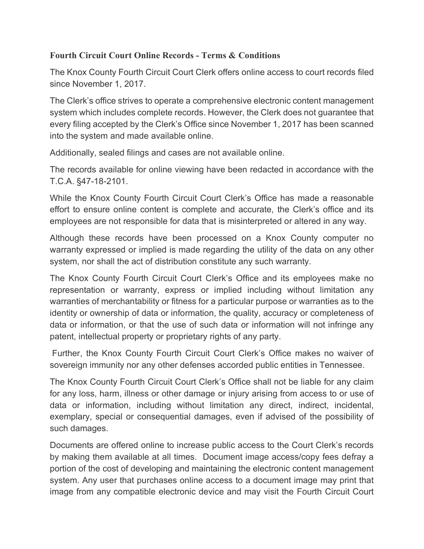## **Fourth Circuit Court Online Records - Terms & Conditions**

The Knox County Fourth Circuit Court Clerk offers online access to court records filed since November 1, 2017.

The Clerk's office strives to operate a comprehensive electronic content management system which includes complete records. However, the Clerk does not guarantee that every filing accepted by the Clerk's Office since November 1, 2017 has been scanned into the system and made available online.

Additionally, sealed filings and cases are not available online.

The records available for online viewing have been redacted in accordance with the T.C.A. §47-18-2101.

While the Knox County Fourth Circuit Court Clerk's Office has made a reasonable effort to ensure online content is complete and accurate, the Clerk's office and its employees are not responsible for data that is misinterpreted or altered in any way.

Although these records have been processed on a Knox County computer no warranty expressed or implied is made regarding the utility of the data on any other system, nor shall the act of distribution constitute any such warranty.

The Knox County Fourth Circuit Court Clerk's Office and its employees make no representation or warranty, express or implied including without limitation any warranties of merchantability or fitness for a particular purpose or warranties as to the identity or ownership of data or information, the quality, accuracy or completeness of data or information, or that the use of such data or information will not infringe any patent, intellectual property or proprietary rights of any party.

Further, the Knox County Fourth Circuit Court Clerk's Office makes no waiver of sovereign immunity nor any other defenses accorded public entities in Tennessee.

The Knox County Fourth Circuit Court Clerk's Office shall not be liable for any claim for any loss, harm, illness or other damage or injury arising from access to or use of data or information, including without limitation any direct, indirect, incidental, exemplary, special or consequential damages, even if advised of the possibility of such damages.

Documents are offered online to increase public access to the Court Clerk's records by making them available at all times. Document image access/copy fees defray a portion of the cost of developing and maintaining the electronic content management system. Any user that purchases online access to a document image may print that image from any compatible electronic device and may visit the Fourth Circuit Court